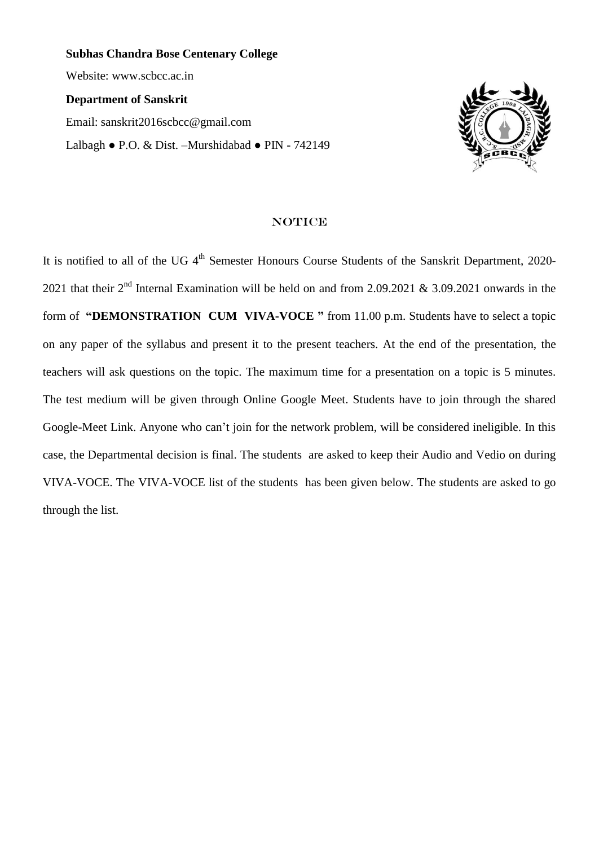**Subhas Chandra Bose Centenary College** Website: [www.scbcc.ac.in](http://www.scbcc.ac.in/) **Department of Sanskrit** Email: [sanskrit2016scbcc@gmail.com](mailto:sanskrit2016scbcc@gmail.com) Lalbagh **●** P.O. & Dist. –Murshidabad **●** PIN - 742149



#### **NOTICE**

It is notified to all of the UG 4<sup>th</sup> Semester Honours Course Students of the Sanskrit Department, 2020-2021 that their  $2<sup>nd</sup>$  Internal Examination will be held on and from 2.09.2021 & 3.09.2021 onwards in the form of **"DEMONSTRATION CUM VIVA-VOCE "** from 11.00 p.m. Students have to select a topic on any paper of the syllabus and present it to the present teachers. At the end of the presentation, the teachers will ask questions on the topic. The maximum time for a presentation on a topic is 5 minutes. The test medium will be given through Online Google Meet. Students have to join through the shared Google-Meet Link. Anyone who can't join for the network problem, will be considered ineligible. In this case, the Departmental decision is final. The students are asked to keep their Audio and Vedio on during VIVA-VOCE. The VIVA-VOCE list of the students has been given below. The students are asked to go through the list.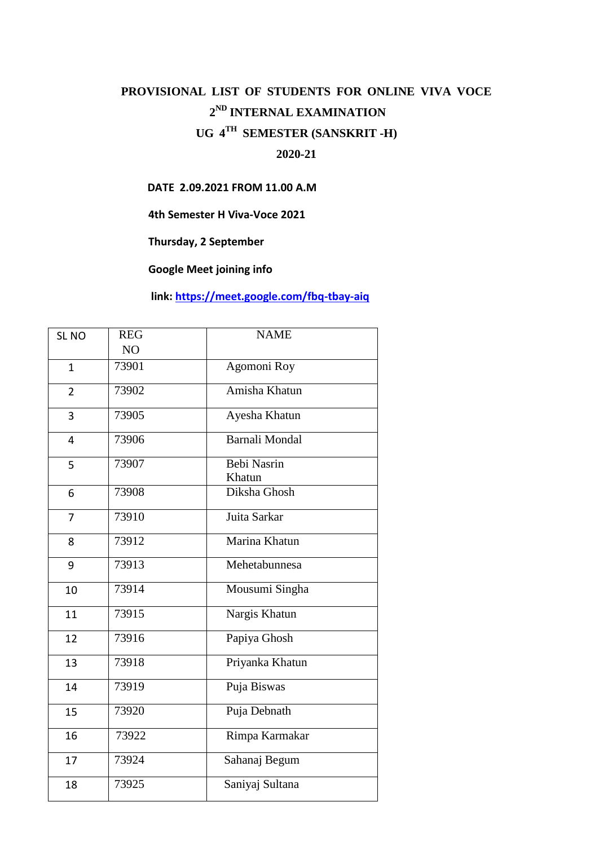# **PROVISIONAL LIST OF STUDENTS FOR ONLINE VIVA VOCE ND INTERNAL EXAMINATION UG 4 TH SEMESTER (SANSKRIT -H)**

## **2020-21**

### **DATE 2.09.2021 FROM 11.00 A.M**

**4th Semester H Viva-Voce 2021**

**Thursday, 2 September**

**Google Meet joining info**

## **link:<https://meet.google.com/fbq-tbay-aiq>**

| SL <sub>NO</sub>        | <b>REG</b> | <b>NAME</b>                  |
|-------------------------|------------|------------------------------|
|                         | NO         |                              |
| $\mathbf{1}$            | 73901      | Agomoni Roy                  |
| $\overline{2}$          | 73902      | Amisha Khatun                |
| 3                       | 73905      | Ayesha Khatun                |
| $\overline{\mathbf{4}}$ | 73906      | <b>Barnali Mondal</b>        |
| 5                       | 73907      | <b>Bebi Nasrin</b><br>Khatun |
| 6                       | 73908      | Diksha Ghosh                 |
| 7                       | 73910      | Juita Sarkar                 |
| 8                       | 73912      | Marina Khatun                |
| 9                       | 73913      | Mehetabunnesa                |
| 10                      | 73914      | Mousumi Singha               |
| 11                      | 73915      | Nargis Khatun                |
| 12                      | 73916      | Papiya Ghosh                 |
| 13                      | 73918      | Priyanka Khatun              |
| 14                      | 73919      | Puja Biswas                  |
| 15                      | 73920      | Puja Debnath                 |
| 16                      | 73922      | Rimpa Karmakar               |
| 17                      | 73924      | Sahanaj Begum                |
| 18                      | 73925      | Saniyaj Sultana              |